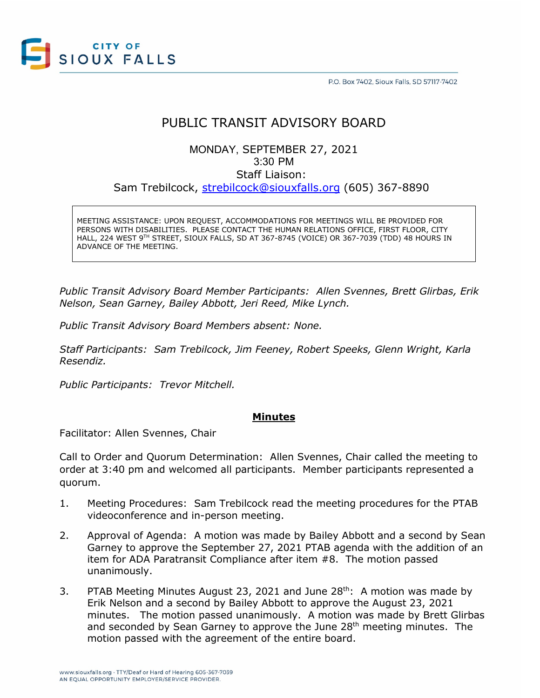

# PUBLIC TRANSIT ADVISORY BOARD

## MONDAY, SEPTEMBER 27, 2021 3:30 PM Staff Liaison: Sam Trebilcock, [strebilcock@siouxfalls.org](mailto:strebilcock@siouxfalls.org) (605) 367-8890

MEETING ASSISTANCE: UPON REQUEST, ACCOMMODATIONS FOR MEETINGS WILL BE PROVIDED FOR PERSONS WITH DISABILITIES. PLEASE CONTACT THE HUMAN RELATIONS OFFICE, FIRST FLOOR, CITY HALL, 224 WEST 9TH STREET, SIOUX FALLS, SD AT 367-8745 (VOICE) OR 367-7039 (TDD) 48 HOURS IN ADVANCE OF THE MEETING.

*Public Transit Advisory Board Member Participants: Allen Svennes, Brett Glirbas, Erik Nelson, Sean Garney, Bailey Abbott, Jeri Reed, Mike Lynch.*

*Public Transit Advisory Board Members absent: None.*

*Staff Participants: Sam Trebilcock, Jim Feeney, Robert Speeks, Glenn Wright, Karla Resendiz.*

*Public Participants: Trevor Mitchell.*

#### **Minutes**

Facilitator: Allen Svennes, Chair

Call to Order and Quorum Determination: Allen Svennes, Chair called the meeting to order at 3:40 pm and welcomed all participants. Member participants represented a quorum.

- 1. Meeting Procedures: Sam Trebilcock read the meeting procedures for the PTAB videoconference and in-person meeting.
- 2. Approval of Agenda: A motion was made by Bailey Abbott and a second by Sean Garney to approve the September 27, 2021 PTAB agenda with the addition of an item for ADA Paratransit Compliance after item #8. The motion passed unanimously.
- 3. PTAB Meeting Minutes August 23, 2021 and June  $28<sup>th</sup>$ : A motion was made by Erik Nelson and a second by Bailey Abbott to approve the August 23, 2021 minutes. The motion passed unanimously. A motion was made by Brett Glirbas and seconded by Sean Garney to approve the June 28<sup>th</sup> meeting minutes. The motion passed with the agreement of the entire board.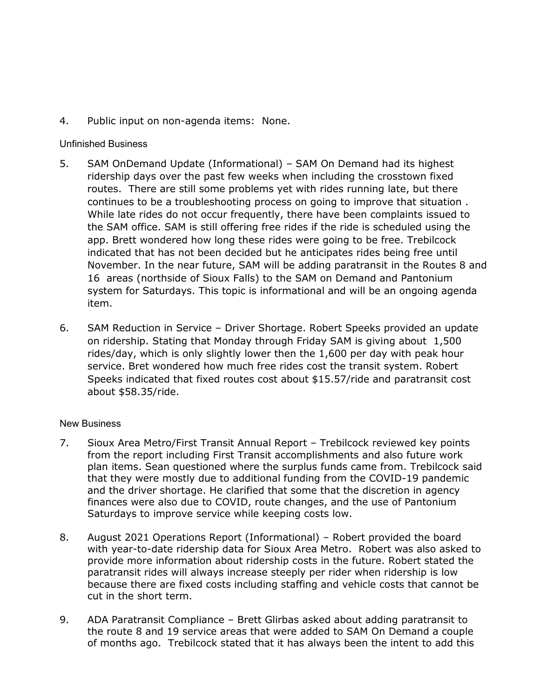4. Public input on non-agenda items: None.

#### Unfinished Business

- 5. SAM OnDemand Update (Informational) SAM On Demand had its highest ridership days over the past few weeks when including the crosstown fixed routes. There are still some problems yet with rides running late, but there continues to be a troubleshooting process on going to improve that situation . While late rides do not occur frequently, there have been complaints issued to the SAM office. SAM is still offering free rides if the ride is scheduled using the app. Brett wondered how long these rides were going to be free. Trebilcock indicated that has not been decided but he anticipates rides being free until November. In the near future, SAM will be adding paratransit in the Routes 8 and 16 areas (northside of Sioux Falls) to the SAM on Demand and Pantonium system for Saturdays. This topic is informational and will be an ongoing agenda item.
- 6. SAM Reduction in Service Driver Shortage. Robert Speeks provided an update on ridership. Stating that Monday through Friday SAM is giving about 1,500 rides/day, which is only slightly lower then the 1,600 per day with peak hour service. Bret wondered how much free rides cost the transit system. Robert Speeks indicated that fixed routes cost about \$15.57/ride and paratransit cost about \$58.35/ride.

### New Business

- 7. Sioux Area Metro/First Transit Annual Report Trebilcock reviewed key points from the report including First Transit accomplishments and also future work plan items. Sean questioned where the surplus funds came from. Trebilcock said that they were mostly due to additional funding from the COVID-19 pandemic and the driver shortage. He clarified that some that the discretion in agency finances were also due to COVID, route changes, and the use of Pantonium Saturdays to improve service while keeping costs low.
- 8. August 2021 Operations Report (Informational) Robert provided the board with year-to-date ridership data for Sioux Area Metro. Robert was also asked to provide more information about ridership costs in the future. Robert stated the paratransit rides will always increase steeply per rider when ridership is low because there are fixed costs including staffing and vehicle costs that cannot be cut in the short term.
- 9. ADA Paratransit Compliance Brett Glirbas asked about adding paratransit to the route 8 and 19 service areas that were added to SAM On Demand a couple of months ago. Trebilcock stated that it has always been the intent to add this